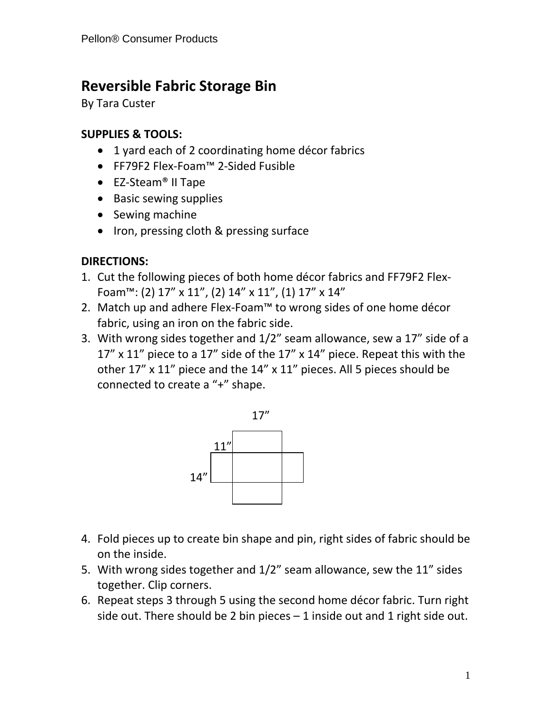## **Reversible Fabric Storage Bin**

By Tara Custer

## **SUPPLIES & TOOLS:**

- 1 yard each of 2 coordinating home décor fabrics
- FF79F2 Flex-Foam™ 2-Sided Fusible
- EZ-Steam<sup>®</sup> II Tape
- Basic sewing supplies
- Sewing machine
- Iron, pressing cloth & pressing surface

## **DIRECTIONS:**

- 1. Cut the following pieces of both home décor fabrics and FF79F2 Flex-Foam™: (2) 17" x 11", (2) 14" x 11", (1) 17" x 14"
- 2. Match up and adhere Flex-Foam™ to wrong sides of one home décor fabric, using an iron on the fabric side.
- 3. With wrong sides together and 1/2" seam allowance, sew a 17" side of a 17" x 11" piece to a 17" side of the 17" x 14" piece. Repeat this with the other 17" x 11" piece and the 14" x 11" pieces. All 5 pieces should be connected to create a "+" shape.



- 4. Fold pieces up to create bin shape and pin, right sides of fabric should be on the inside.
- 5. With wrong sides together and 1/2" seam allowance, sew the 11" sides together. Clip corners.
- 6. Repeat steps 3 through 5 using the second home décor fabric. Turn right side out. There should be 2 bin pieces  $-1$  inside out and 1 right side out.